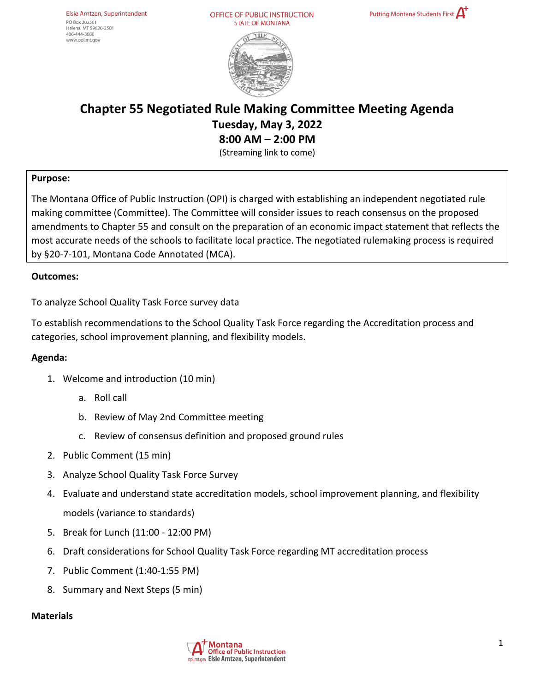OFFICE OF PUBLIC INSTRUCTION **STATE OF MONTANA** 



# **Chapter 55 Negotiated Rule Making Committee Meeting Agenda Tuesday, May 3, 2022 8:00 AM – 2:00 PM**

(Streaming link to come)

## **Purpose:**

The Montana Office of Public Instruction (OPI) is charged with establishing an independent negotiated rule making committee (Committee). The Committee will consider issues to reach consensus on the proposed amendments to Chapter 55 and consult on the preparation of an economic impact statement that reflects the most accurate needs of the schools to facilitate local practice. The negotiated rulemaking process is required by §20-7-101, Montana Code Annotated (MCA).

### **Outcomes:**

To analyze School Quality Task Force survey data

To establish recommendations to the School Quality Task Force regarding the Accreditation process and categories, school improvement planning, and flexibility models.

### **Agenda:**

- 1. Welcome and introduction (10 min)
	- a. Roll call
	- b. Review of May 2nd Committee meeting
	- c. Review of consensus definition and proposed ground rules
- 2. Public Comment (15 min)
- 3. Analyze School Quality Task Force Survey
- 4. Evaluate and understand state accreditation models, school improvement planning, and flexibility models (variance to standards)
- 5. Break for Lunch (11:00 12:00 PM)
- 6. Draft considerations for School Quality Task Force regarding MT accreditation process
- 7. Public Comment (1:40-1:55 PM)
- 8. Summary and Next Steps (5 min)

### **Materials**